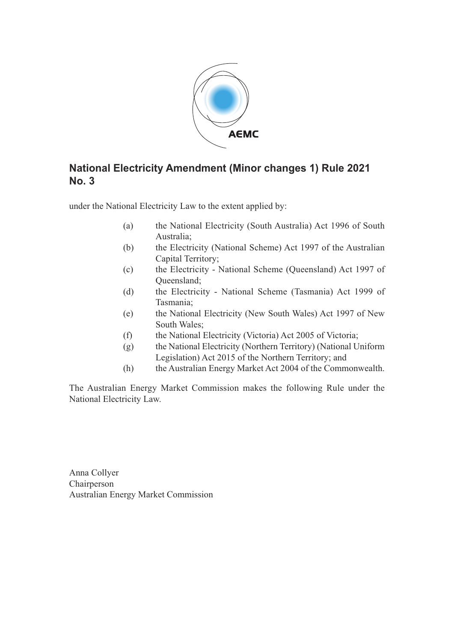

### **National Electricity Amendment (Minor changes 1) Rule 2021 No. 3**

under the National Electricity Law to the extent applied by:

- (a) the National Electricity (South Australia) Act 1996 of South Australia;
- (b) the Electricity (National Scheme) Act 1997 of the Australian Capital Territory;
- (c) the Electricity National Scheme (Queensland) Act 1997 of Queensland;
- (d) the Electricity National Scheme (Tasmania) Act 1999 of Tasmania;
- (e) the National Electricity (New South Wales) Act 1997 of New South Wales;
- (f) the National Electricity (Victoria) Act 2005 of Victoria;
- (g) the National Electricity (Northern Territory) (National Uniform Legislation) Act 2015 of the Northern Territory; and
- (h) the Australian Energy Market Act 2004 of the Commonwealth.

The Australian Energy Market Commission makes the following Rule under the National Electricity Law.

Anna Collyer Chairperson Australian Energy Market Commission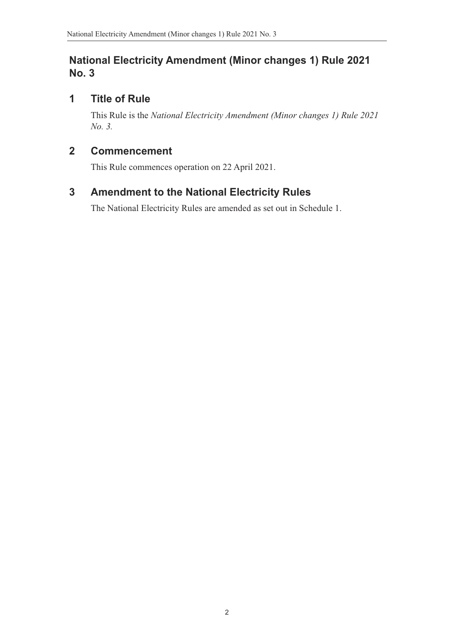#### **National Electricity Amendment (Minor changes 1) Rule 2021 No. 3**

### **1 Title of Rule**

This Rule is the *National Electricity Amendment (Minor changes 1) Rule 2021 No. 3.*

#### **2 Commencement**

This Rule commences operation on 22 April 2021.

# **3 Amendment to the National Electricity Rules**

<span id="page-1-0"></span>The National Electricity Rules are amended as set out in Schedule 1.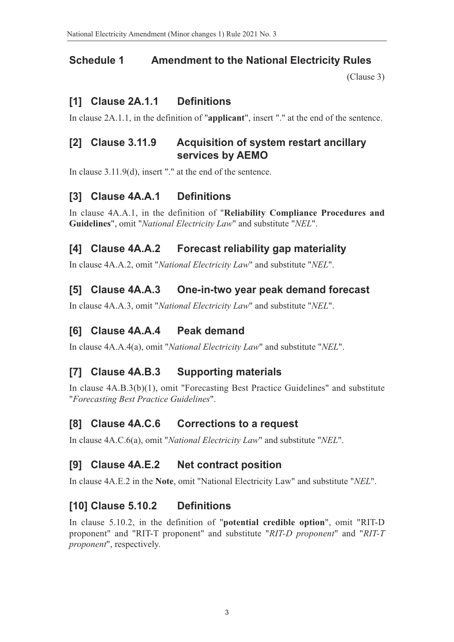#### **Schedule 1 Amendment to the National Electricity Rules**

(Clause 3)

#### **[1] Clause 2A.1.1 Definitions**

In clause 2A.1.1, in the definition of "**applicant**", insert "." at the end of th[e sentence.](#page-1-0)

#### **[2] Clause 3.11.9 Acquisition of system restart ancillary services by AEMO**

In clause 3.11.9(d), insert "." at the end of the sentence.

#### **[3] Clause 4A.A.1 Definitions**

In clause 4A.A.1, in the definition of "**Reliability Compliance Procedures and Guidelines**", omit "*National Electricity Law*" and substitute "*NEL*".

#### **[4] Clause 4A.A.2 Forecast reliability gap materiality**

In clause 4A.A.2, omit "*National Electricity Law*" and substitute "*NEL*".

#### **[5] Clause 4A.A.3 One-in-two year peak demand forecast**

In clause 4A.A.3, omit "*National Electricity Law*" and substitute "*NEL*".

#### **[6] Clause 4A.A.4 Peak demand**

In clause 4A.A.4(a), omit "*National Electricity Law*" and substitute "*NEL*".

#### **[7] Clause 4A.B.3 Supporting materials**

In clause 4A.B.3(b)(1), omit "Forecasting Best Practice Guidelines" and substitute "*Forecasting Best Practice Guidelines*".

#### **[8] Clause 4A.C.6 Corrections to a request**

In clause 4A.C.6(a), omit "*National Electricity Law*" and substitute "*NEL*".

#### **[9] Clause 4A.E.2 Net contract position**

In clause 4A.E.2 in the **Note**, omit "National Electricity Law" and substitute "*NEL*".

#### **[10] Clause 5.10.2 Definitions**

In clause 5.10.2, in the definition of "**potential credible option**", omit "RIT-D proponent" and "RIT-T proponent" and substitute "*RIT-D proponent*" and "*RIT-T proponent*", respectively.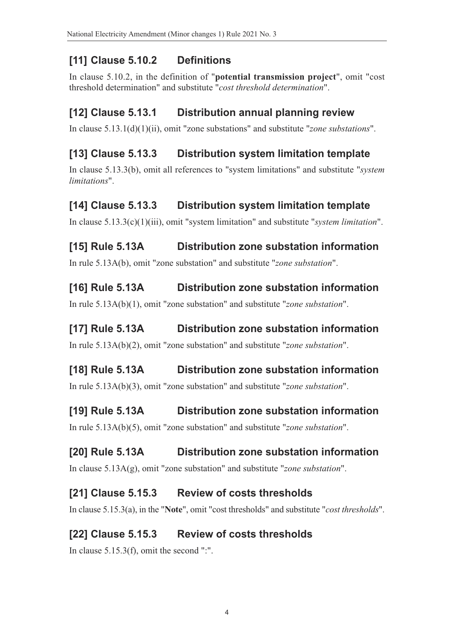# **[11] Clause 5.10.2 Definitions**

In clause 5.10.2, in the definition of "**potential transmission project**", omit "cost threshold determination" and substitute "*cost threshold determination*".

## **[12] Clause 5.13.1 Distribution annual planning review**

In clause 5.13.1(d)(1)(ii), omit "zone substations" and substitute "*zone substations*".

## **[13] Clause 5.13.3 Distribution system limitation template**

In clause 5.13.3(b), omit all references to "system limitations" and substitute "*system limitations*".

## **[14] Clause 5.13.3 Distribution system limitation template**

In clause 5.13.3(c)(1)(iii), omit "system limitation" and substitute "*system limitation*".

# **[15] Rule 5.13A Distribution zone substation information**

In rule 5.13A(b), omit "zone substation" and substitute "*zone substation*".

## **[16] Rule 5.13A Distribution zone substation information**

In rule 5.13A(b)(1), omit "zone substation" and substitute "*zone substation*".

### **[17] Rule 5.13A Distribution zone substation information**

In rule 5.13A(b)(2), omit "zone substation" and substitute "*zone substation*".

## **[18] Rule 5.13A Distribution zone substation information**

In rule 5.13A(b)(3), omit "zone substation" and substitute "*zone substation*".

## **[19] Rule 5.13A Distribution zone substation information**

In rule 5.13A(b)(5), omit "zone substation" and substitute "*zone substation*".

# **[20] Rule 5.13A Distribution zone substation information**

In clause 5.13A(g), omit "zone substation" and substitute "*zone substation*".

### **[21] Clause 5.15.3 Review of costs thresholds**

In clause 5.15.3(a), in the "**Note**", omit "cost thresholds" and substitute "*cost thresholds*".

# **[22] Clause 5.15.3 Review of costs thresholds**

In clause 5.15.3(f), omit the second ":".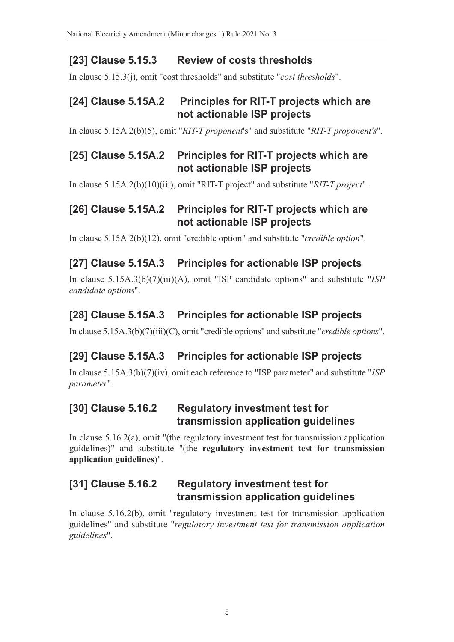### **[23] Clause 5.15.3 Review of costs thresholds**

In clause 5.15.3(j), omit "cost thresholds" and substitute "*cost thresholds*".

#### **[24] Clause 5.15A.2 Principles for RIT-T projects which are not actionable ISP projects**

In clause 5.15A.2(b)(5), omit "*RIT-T proponent*'s" and substitute "*RIT-T proponent's*".

#### **[25] Clause 5.15A.2 Principles for RIT-T projects which are not actionable ISP projects**

In clause 5.15A.2(b)(10)(iii), omit "RIT-T project" and substitute "*RIT-T project*".

### **[26] Clause 5.15A.2 Principles for RIT-T projects which are not actionable ISP projects**

In clause 5.15A.2(b)(12), omit "credible option" and substitute "*credible option*".

### **[27] Clause 5.15A.3 Principles for actionable ISP projects**

In clause 5.15A.3(b)(7)(iii)(A), omit "ISP candidate options" and substitute "*ISP candidate options*".

### **[28] Clause 5.15A.3 Principles for actionable ISP projects**

In clause 5.15A.3(b)(7)(iii)(C), omit "credible options" and substitute "*credible options*".

## **[29] Clause 5.15A.3 Principles for actionable ISP projects**

In clause 5.15A.3(b)(7)(iv), omit each reference to "ISP parameter" and substitute "*ISP parameter*".

#### **[30] Clause 5.16.2 Regulatory investment test for transmission application guidelines**

In clause 5.16.2(a), omit "(the regulatory investment test for transmission application guidelines)" and substitute "(the **regulatory investment test for transmission application guidelines**)".

### **[31] Clause 5.16.2 Regulatory investment test for transmission application guidelines**

In clause 5.16.2(b), omit "regulatory investment test for transmission application guidelines" and substitute "*regulatory investment test for transmission application guidelines*".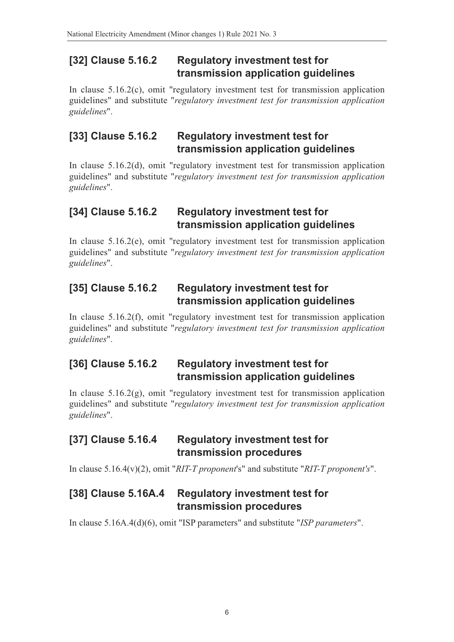#### **[32] Clause 5.16.2 Regulatory investment test for transmission application guidelines**

In clause 5.16.2(c), omit "regulatory investment test for transmission application guidelines" and substitute "*regulatory investment test for transmission application guidelines*".

#### **[33] Clause 5.16.2 Regulatory investment test for transmission application guidelines**

In clause 5.16.2(d), omit "regulatory investment test for transmission application guidelines" and substitute "*regulatory investment test for transmission application guidelines*".

#### **[34] Clause 5.16.2 Regulatory investment test for transmission application guidelines**

In clause 5.16.2(e), omit "regulatory investment test for transmission application guidelines" and substitute "*regulatory investment test for transmission application guidelines*".

#### **[35] Clause 5.16.2 Regulatory investment test for transmission application guidelines**

In clause 5.16.2(f), omit "regulatory investment test for transmission application guidelines" and substitute "*regulatory investment test for transmission application guidelines*".

### **[36] Clause 5.16.2 Regulatory investment test for transmission application guidelines**

In clause 5.16.2(g), omit "regulatory investment test for transmission application guidelines" and substitute "*regulatory investment test for transmission application guidelines*".

#### **[37] Clause 5.16.4 Regulatory investment test for transmission procedures**

In clause 5.16.4(v)(2), omit "*RIT-T proponent*'s" and substitute "*RIT-T proponent's*".

#### **[38] Clause 5.16A.4 Regulatory investment test for transmission procedures**

In clause 5.16A.4(d)(6), omit "ISP parameters" and substitute "*ISP parameters*".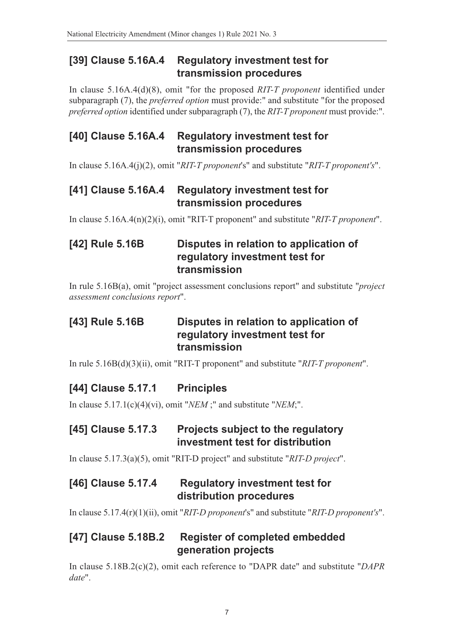#### **[39] Clause 5.16A.4 Regulatory investment test for transmission procedures**

In clause 5.16A.4(d)(8), omit "for the proposed *RIT-T proponent* identified under subparagraph (7), the *preferred option* must provide:" and substitute "for the proposed *preferred option* identified under subparagraph (7), the *RIT-T proponent* must provide:".

#### **[40] Clause 5.16A.4 Regulatory investment test for transmission procedures**

In clause 5.16A.4(j)(2), omit "*RIT-T proponent*'s" and substitute "*RIT-T proponent's*".

#### **[41] Clause 5.16A.4 Regulatory investment test for transmission procedures**

In clause 5.16A.4(n)(2)(i), omit "RIT-T proponent" and substitute "*RIT-T proponent*".

### **[42] Rule 5.16B Disputes in relation to application of regulatory investment test for transmission**

In rule 5.16B(a), omit "project assessment conclusions report" and substitute "*project assessment conclusions report*".

#### **[43] Rule 5.16B Disputes in relation to application of regulatory investment test for transmission**

In rule 5.16B(d)(3)(ii), omit "RIT-T proponent" and substitute "*RIT-T proponent*".

#### **[44] Clause 5.17.1 Principles**

In clause 5.17.1(c)(4)(vi), omit "*NEM* ;" and substitute "*NEM*;".

#### **[45] Clause 5.17.3 Projects subject to the regulatory investment test for distribution**

In clause 5.17.3(a)(5), omit "RIT-D project" and substitute "*RIT-D project*".

#### **[46] Clause 5.17.4 Regulatory investment test for distribution procedures**

In clause 5.17.4(r)(1)(ii), omit "*RIT-D proponent*'s" and substitute "*RIT-D proponent's*".

#### **[47] Clause 5.18B.2 Register of completed embedded generation projects**

In clause 5.18B.2(c)(2), omit each reference to "DAPR date" and substitute "*DAPR date*".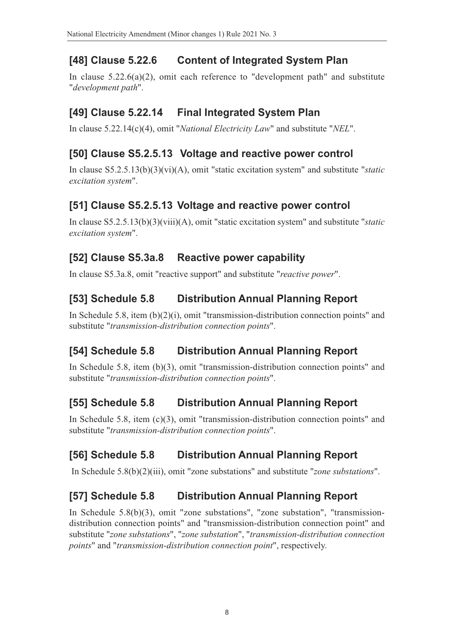# **[48] Clause 5.22.6 Content of Integrated System Plan**

In clause 5.22.6(a)(2), omit each reference to "development path" and substitute "*development path*".

### **[49] Clause 5.22.14 Final Integrated System Plan**

In clause 5.22.14(c)(4), omit "*National Electricity Law*" and substitute "*NEL*".

### **[50] Clause S5.2.5.13 Voltage and reactive power control**

In clause S5.2.5.13(b)(3)(vi)(A), omit "static excitation system" and substitute "*static excitation system*".

### **[51] Clause S5.2.5.13 Voltage and reactive power control**

In clause S5.2.5.13(b)(3)(viii)(A), omit "static excitation system" and substitute "*static excitation system*".

### **[52] Clause S5.3a.8 Reactive power capability**

In clause S5.3a.8, omit "reactive support" and substitute "*reactive power*".

## **[53] Schedule 5.8 Distribution Annual Planning Report**

In Schedule 5.8, item (b)(2)(i), omit "transmission-distribution connection points" and substitute "*transmission-distribution connection points*".

## **[54] Schedule 5.8 Distribution Annual Planning Report**

In Schedule 5.8, item (b)(3), omit "transmission-distribution connection points" and substitute "*transmission-distribution connection points*".

## **[55] Schedule 5.8 Distribution Annual Planning Report**

In Schedule 5.8, item (c)(3), omit "transmission-distribution connection points" and substitute "*transmission-distribution connection points*".

## **[56] Schedule 5.8 Distribution Annual Planning Report**

In Schedule 5.8(b)(2)(iii), omit "zone substations" and substitute "*zone substations*".

## **[57] Schedule 5.8 Distribution Annual Planning Report**

In Schedule 5.8(b)(3), omit "zone substations", "zone substation", "transmissiondistribution connection points" and "transmission-distribution connection point" and substitute "*zone substations*", "*zone substation*", "*transmission-distribution connection points*" and "*transmission-distribution connection point*", respectively.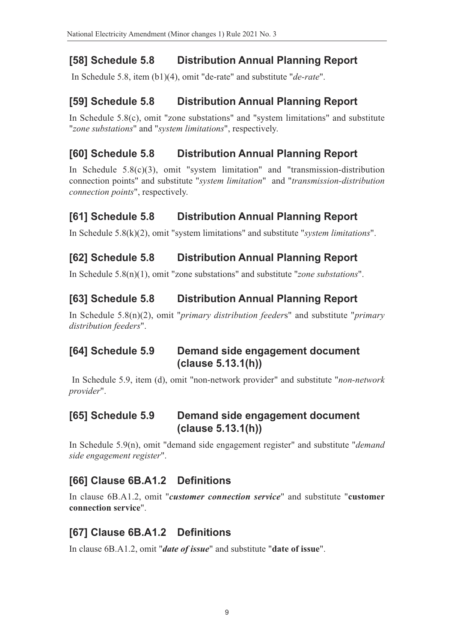# **[58] Schedule 5.8 Distribution Annual Planning Report**

In Schedule 5.8, item (b1)(4), omit "de-rate" and substitute "*de-rate*".

### **[59] Schedule 5.8 Distribution Annual Planning Report**

In Schedule 5.8(c), omit "zone substations" and "system limitations" and substitute "*zone substations*" and "*system limitations*", respectively.

### **[60] Schedule 5.8 Distribution Annual Planning Report**

In Schedule 5.8(c)(3), omit "system limitation" and "transmission-distribution connection points" and substitute "*system limitation*" and "*transmission-distribution connection points*", respectively.

## **[61] Schedule 5.8 Distribution Annual Planning Report**

In Schedule 5.8(k)(2), omit "system limitations" and substitute "*system limitations*".

### **[62] Schedule 5.8 Distribution Annual Planning Report**

In Schedule 5.8(n)(1), omit "zone substations" and substitute "*zone substations*".

### **[63] Schedule 5.8 Distribution Annual Planning Report**

In Schedule 5.8(n)(2), omit "*primary distribution feeder*s" and substitute "*primary distribution feeders*".

#### **[64] Schedule 5.9 Demand side engagement document (clause 5.13.1(h))**

 In Schedule 5.9, item (d), omit "non-network provider" and substitute "*non-network provider*".

#### **[65] Schedule 5.9 Demand side engagement document (clause 5.13.1(h))**

In Schedule 5.9(n), omit "demand side engagement register" and substitute "*demand side engagement register*".

## **[66] Clause 6B.A1.2 Definitions**

In clause 6B.A1.2, omit "*customer connection service*" and substitute "**customer connection service**".

## **[67] Clause 6B.A1.2 Definitions**

In clause 6B.A1.2, omit "*date of issue*" and substitute "**date of issue**".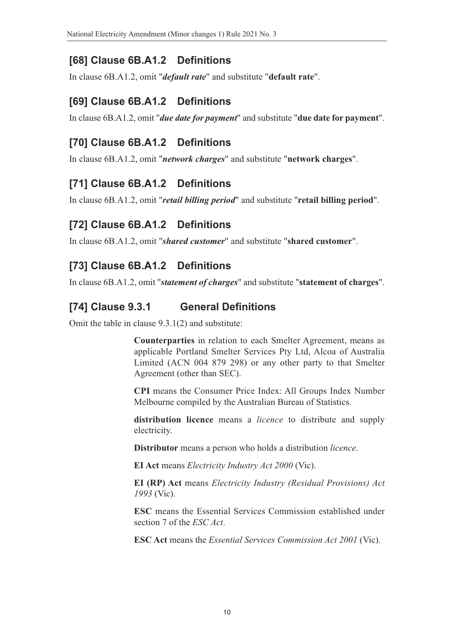### **[68] Clause 6B.A1.2 Definitions**

In clause 6B.A1.2, omit "*default rate*" and substitute "**default rate**".

#### **[69] Clause 6B.A1.2 Definitions**

In clause 6B.A1.2, omit "*due date for payment*" and substitute "**due date for payment**".

### **[70] Clause 6B.A1.2 Definitions**

In clause 6B.A1.2, omit "*network charges*" and substitute "**network charges**".

### **[71] Clause 6B.A1.2 Definitions**

In clause 6B.A1.2, omit "*retail billing period*" and substitute "**retail billing period**".

### **[72] Clause 6B.A1.2 Definitions**

In clause 6B.A1.2, omit "*shared customer*" and substitute "**shared customer**".

### **[73] Clause 6B.A1.2 Definitions**

In clause 6B.A1.2, omit "*statement of charges*" and substitute "**statement of charges**".

#### **[74] Clause 9.3.1 General Definitions**

Omit the table in clause 9.3.1(2) and substitute:

**Counterparties** in relation to each Smelter Agreement, means as applicable Portland Smelter Services Pty Ltd, Alcoa of Australia Limited (ACN 004 879 298) or any other party to that Smelter Agreement (other than SEC).

**CPI** means the Consumer Price Index: All Groups Index Number Melbourne compiled by the Australian Bureau of Statistics.

**distribution licence** means a *licence* to distribute and supply electricity.

**Distributor** means a person who holds a distribution *licence*.

**EI Act** means *Electricity Industry Act 2000* (Vic).

**EI (RP) Act** means *Electricity Industry (Residual Provisions) Act 1993* (Vic).

**ESC** means the Essential Services Commission established under section 7 of the *ESC Act*.

**ESC Act** means the *Essential Services Commission Act 2001* (Vic).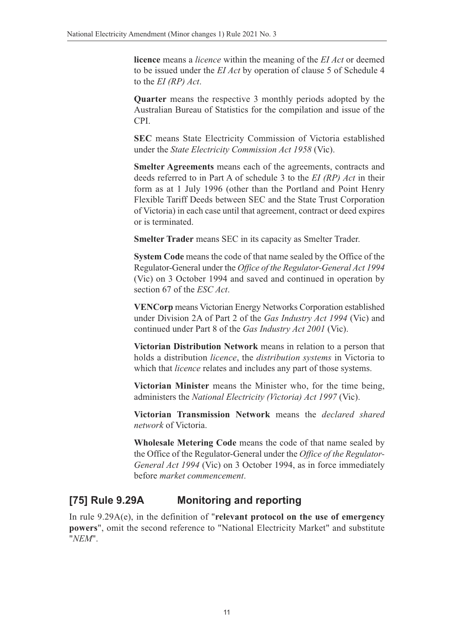**licence** means a *licence* within the meaning of the *EI Act* or deemed to be issued under the *EI Act* by operation of clause 5 of Schedule 4 to the *EI (RP) Act*.

**Quarter** means the respective 3 monthly periods adopted by the Australian Bureau of Statistics for the compilation and issue of the CPI.

**SEC** means State Electricity Commission of Victoria established under the *State Electricity Commission Act 1958* (Vic).

**Smelter Agreements** means each of the agreements, contracts and deeds referred to in Part A of schedule 3 to the *EI (RP) Act* in their form as at 1 July 1996 (other than the Portland and Point Henry Flexible Tariff Deeds between SEC and the State Trust Corporation of Victoria) in each case until that agreement, contract or deed expires or is terminated.

**Smelter Trader** means SEC in its capacity as Smelter Trader.

**System Code** means the code of that name sealed by the Office of the Regulator-General under the *Office of the Regulator-General Act 1994* (Vic) on 3 October 1994 and saved and continued in operation by section 67 of the *ESC Act*.

**VENCorp** means Victorian Energy Networks Corporation established under Division 2A of Part 2 of the *Gas Industry Act 1994* (Vic) and continued under Part 8 of the *Gas Industry Act 2001* (Vic).

**Victorian Distribution Network** means in relation to a person that holds a distribution *licence*, the *distribution systems* in Victoria to which that *licence* relates and includes any part of those systems.

**Victorian Minister** means the Minister who, for the time being, administers the *National Electricity (Victoria) Act 1997* (Vic).

**Victorian Transmission Network** means the *declared shared network* of Victoria.

**Wholesale Metering Code** means the code of that name sealed by the Office of the Regulator-General under the *Office of the Regulator-General Act 1994* (Vic) on 3 October 1994, as in force immediately before *market commencement*.

### **[75] Rule 9.29A Monitoring and reporting**

In rule 9.29A(e), in the definition of "**relevant protocol on the use of emergency powers**", omit the second reference to "National Electricity Market" and substitute "*NEM*".